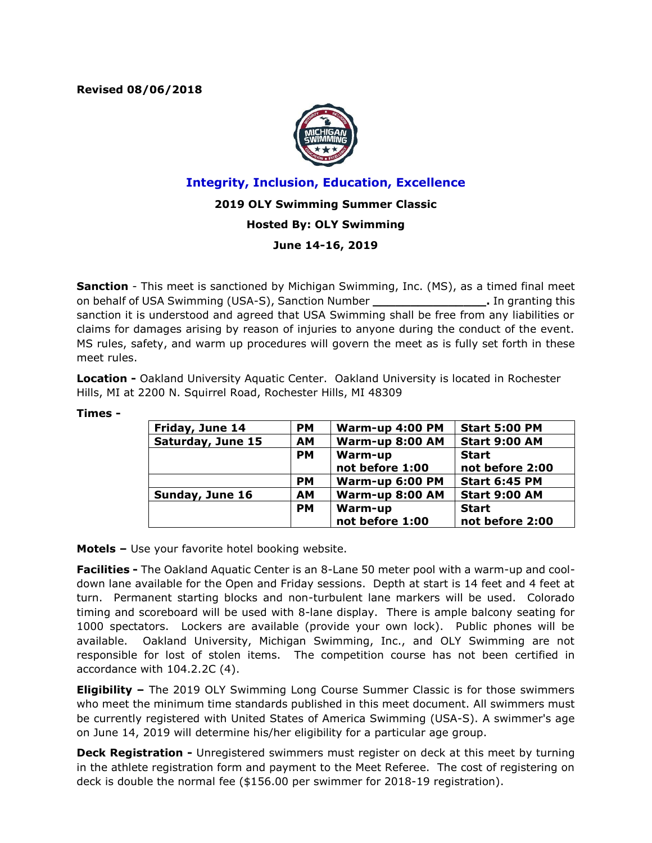**Revised 08/06/2018**



# **Integrity, Inclusion, Education, Excellence**

## **2019 OLY Swimming Summer Classic**

## **Hosted By: OLY Swimming**

## **June 14-16, 2019**

**Sanction** - This meet is sanctioned by Michigan Swimming, Inc. (MS), as a timed final meet on behalf of USA Swimming (USA-S), Sanction Number **\_\_\_\_\_\_\_\_\_\_\_\_\_\_\_.** In granting this sanction it is understood and agreed that USA Swimming shall be free from any liabilities or claims for damages arising by reason of injuries to anyone during the conduct of the event. MS rules, safety, and warm up procedures will govern the meet as is fully set forth in these meet rules.

**Location -** Oakland University Aquatic Center. Oakland University is located in Rochester Hills, MI at 2200 N. Squirrel Road, Rochester Hills, MI 48309

| Friday, June 14   | <b>PM</b> | Warm-up 4:00 PM | <b>Start 5:00 PM</b> |
|-------------------|-----------|-----------------|----------------------|
| Saturday, June 15 | <b>AM</b> | Warm-up 8:00 AM | <b>Start 9:00 AM</b> |
|                   | PМ        | Warm-up         | <b>Start</b>         |
|                   |           | not before 1:00 | not before 2:00      |
|                   | <b>PM</b> | Warm-up 6:00 PM | <b>Start 6:45 PM</b> |
| Sunday, June 16   | <b>AM</b> | Warm-up 8:00 AM | <b>Start 9:00 AM</b> |
|                   | <b>PM</b> | Warm-up         | <b>Start</b>         |
|                   |           | not before 1:00 | not before 2:00      |

#### **Times -**

**Motels –** Use your favorite hotel booking website.

**Facilities -** The Oakland Aquatic Center is an 8-Lane 50 meter pool with a warm-up and cooldown lane available for the Open and Friday sessions. Depth at start is 14 feet and 4 feet at turn. Permanent starting blocks and non-turbulent lane markers will be used. Colorado timing and scoreboard will be used with 8-lane display. There is ample balcony seating for 1000 spectators. Lockers are available (provide your own lock). Public phones will be available. Oakland University, Michigan Swimming, Inc., and OLY Swimming are not responsible for lost of stolen items. The competition course has not been certified in accordance with 104.2.2C (4).

**Eligibility –** The 2019 OLY Swimming Long Course Summer Classic is for those swimmers who meet the minimum time standards published in this meet document. All swimmers must be currently registered with United States of America Swimming (USA-S). A swimmer's age on June 14, 2019 will determine his/her eligibility for a particular age group.

**Deck Registration -** Unregistered swimmers must register on deck at this meet by turning in the athlete registration form and payment to the Meet Referee. The cost of registering on deck is double the normal fee (\$156.00 per swimmer for 2018-19 registration).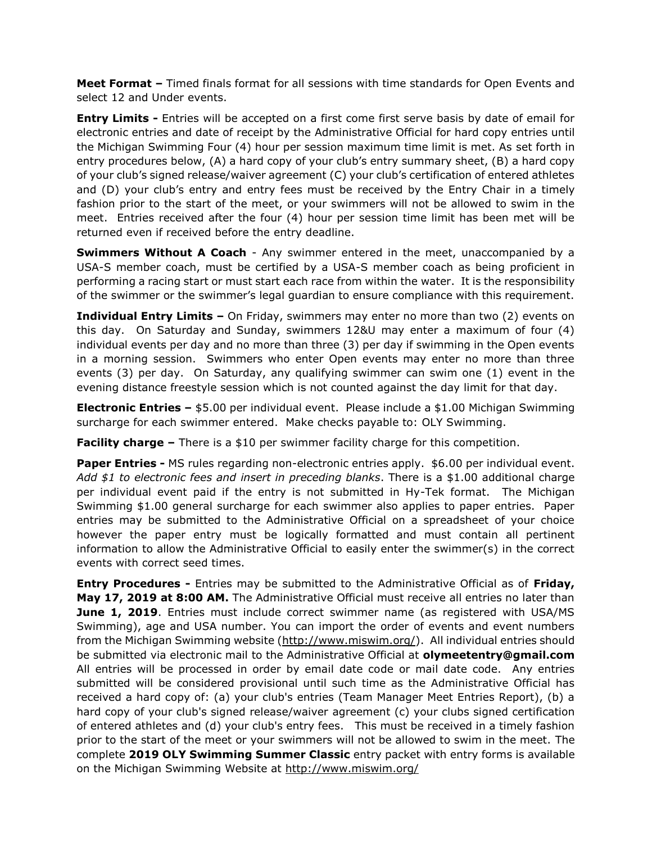**Meet Format –** Timed finals format for all sessions with time standards for Open Events and select 12 and Under events.

**Entry Limits -** Entries will be accepted on a first come first serve basis by date of email for electronic entries and date of receipt by the Administrative Official for hard copy entries until the Michigan Swimming Four (4) hour per session maximum time limit is met. As set forth in entry procedures below, (A) a hard copy of your club's entry summary sheet, (B) a hard copy of your club's signed release/waiver agreement (C) your club's certification of entered athletes and (D) your club's entry and entry fees must be received by the Entry Chair in a timely fashion prior to the start of the meet, or your swimmers will not be allowed to swim in the meet. Entries received after the four (4) hour per session time limit has been met will be returned even if received before the entry deadline.

**Swimmers Without A Coach** - Any swimmer entered in the meet, unaccompanied by a USA-S member coach, must be certified by a USA-S member coach as being proficient in performing a racing start or must start each race from within the water. It is the responsibility of the swimmer or the swimmer's legal guardian to ensure compliance with this requirement.

**Individual Entry Limits –** On Friday, swimmers may enter no more than two (2) events on this day. On Saturday and Sunday, swimmers 12&U may enter a maximum of four (4) individual events per day and no more than three (3) per day if swimming in the Open events in a morning session. Swimmers who enter Open events may enter no more than three events (3) per day. On Saturday, any qualifying swimmer can swim one (1) event in the evening distance freestyle session which is not counted against the day limit for that day.

**Electronic Entries –** \$5.00 per individual event. Please include a \$1.00 Michigan Swimming surcharge for each swimmer entered. Make checks payable to: OLY Swimming.

**Facility charge –** There is a \$10 per swimmer facility charge for this competition.

**Paper Entries -** MS rules regarding non-electronic entries apply. \$6.00 per individual event. *Add \$1 to electronic fees and insert in preceding blanks*. There is a \$1.00 additional charge per individual event paid if the entry is not submitted in Hy-Tek format. The Michigan Swimming \$1.00 general surcharge for each swimmer also applies to paper entries. Paper entries may be submitted to the Administrative Official on a spreadsheet of your choice however the paper entry must be logically formatted and must contain all pertinent information to allow the Administrative Official to easily enter the swimmer(s) in the correct events with correct seed times.

**Entry Procedures -** Entries may be submitted to the Administrative Official as of **Friday, May 17, 2019 at 8:00 AM.** The Administrative Official must receive all entries no later than **June 1, 2019**. Entries must include correct swimmer name (as registered with USA/MS Swimming), age and USA number. You can import the order of events and event numbers from the Michigan Swimming website [\(http://www.miswim.org/\)](http://www.miswim.org/). All individual entries should be submitted via electronic mail to the Administrative Official at **olymeetentry@gmail.com**  All entries will be processed in order by email date code or mail date code. Any entries submitted will be considered provisional until such time as the Administrative Official has received a hard copy of: (a) your club's entries (Team Manager Meet Entries Report), (b) a hard copy of your club's signed release/waiver agreement (c) your clubs signed certification of entered athletes and (d) your club's entry fees. This must be received in a timely fashion prior to the start of the meet or your swimmers will not be allowed to swim in the meet. The complete **2019 OLY Swimming Summer Classic** entry packet with entry forms is available on the Michigan Swimming Website at<http://www.miswim.org/>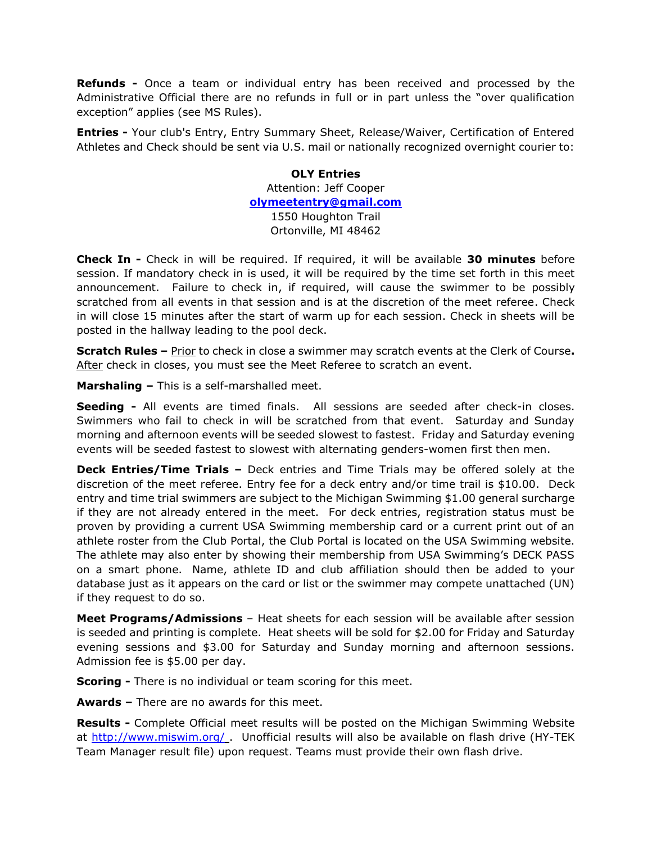**Refunds -** Once a team or individual entry has been received and processed by the Administrative Official there are no refunds in full or in part unless the "over qualification exception" applies (see MS Rules).

**Entries -** Your club's Entry, Entry Summary Sheet, Release/Waiver, Certification of Entered Athletes and Check should be sent via U.S. mail or nationally recognized overnight courier to:

> **OLY Entries** Attention: Jeff Cooper **[olymeetentry@gmail.com](mailto:olymeetentry@gmail.com)** 1550 Houghton Trail Ortonville, MI 48462

**Check In -** Check in will be required. If required, it will be available **30 minutes** before session. If mandatory check in is used, it will be required by the time set forth in this meet announcement. Failure to check in, if required, will cause the swimmer to be possibly scratched from all events in that session and is at the discretion of the meet referee. Check in will close 15 minutes after the start of warm up for each session. Check in sheets will be posted in the hallway leading to the pool deck.

**Scratch Rules** – **Prior to check in close a swimmer may scratch events at the Clerk of Course.** After check in closes, you must see the Meet Referee to scratch an event.

**Marshaling –** This is a self-marshalled meet.

**Seeding -** All events are timed finals. All sessions are seeded after check-in closes. Swimmers who fail to check in will be scratched from that event. Saturday and Sunday morning and afternoon events will be seeded slowest to fastest. Friday and Saturday evening events will be seeded fastest to slowest with alternating genders-women first then men.

**Deck Entries/Time Trials –** Deck entries and Time Trials may be offered solely at the discretion of the meet referee. Entry fee for a deck entry and/or time trail is \$10.00.Deck entry and time trial swimmers are subject to the Michigan Swimming \$1.00 general surcharge if they are not already entered in the meet. For deck entries, registration status must be proven by providing a current USA Swimming membership card or a current print out of an athlete roster from the Club Portal, the Club Portal is located on the USA Swimming website. The athlete may also enter by showing their membership from USA Swimming's DECK PASS on a smart phone. Name, athlete ID and club affiliation should then be added to your database just as it appears on the card or list or the swimmer may compete unattached (UN) if they request to do so.

**Meet Programs/Admissions** – Heat sheets for each session will be available after session is seeded and printing is complete. Heat sheets will be sold for \$2.00 for Friday and Saturday evening sessions and \$3.00 for Saturday and Sunday morning and afternoon sessions. Admission fee is \$5.00 per day.

**Scoring -** There is no individual or team scoring for this meet.

**Awards –** There are no awards for this meet.

**Results -** Complete Official meet results will be posted on the Michigan Swimming Website at<http://www.miswim.org/>. Unofficial results will also be available on flash drive (HY-TEK Team Manager result file) upon request. Teams must provide their own flash drive.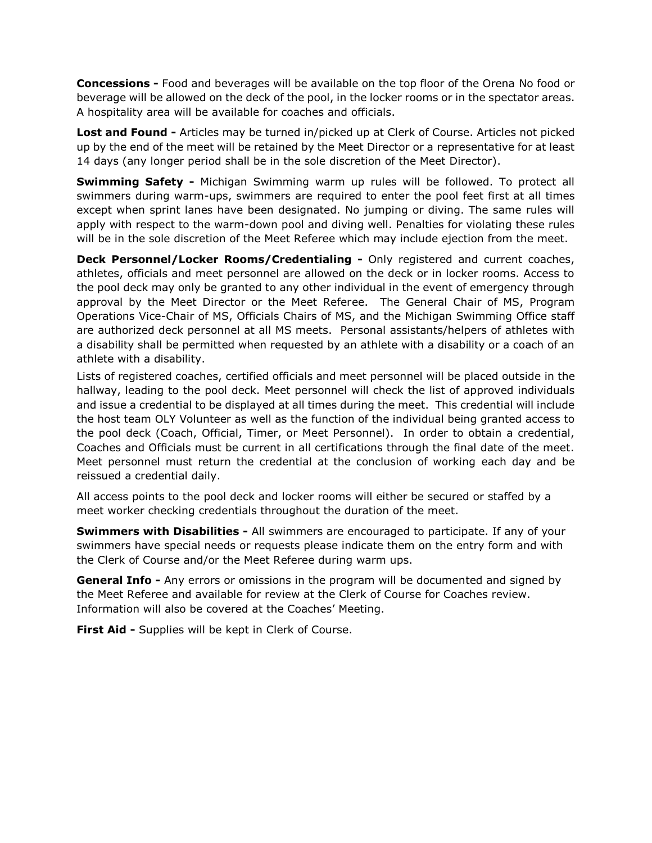**Concessions -** Food and beverages will be available on the top floor of the Orena No food or beverage will be allowed on the deck of the pool, in the locker rooms or in the spectator areas. A hospitality area will be available for coaches and officials.

**Lost and Found -** Articles may be turned in/picked up at Clerk of Course. Articles not picked up by the end of the meet will be retained by the Meet Director or a representative for at least 14 days (any longer period shall be in the sole discretion of the Meet Director).

**Swimming Safety -** Michigan Swimming warm up rules will be followed. To protect all swimmers during warm-ups, swimmers are required to enter the pool feet first at all times except when sprint lanes have been designated. No jumping or diving. The same rules will apply with respect to the warm-down pool and diving well. Penalties for violating these rules will be in the sole discretion of the Meet Referee which may include ejection from the meet.

**Deck Personnel/Locker Rooms/Credentialing -** Only registered and current coaches, athletes, officials and meet personnel are allowed on the deck or in locker rooms. Access to the pool deck may only be granted to any other individual in the event of emergency through approval by the Meet Director or the Meet Referee. The General Chair of MS, Program Operations Vice-Chair of MS, Officials Chairs of MS, and the Michigan Swimming Office staff are authorized deck personnel at all MS meets. Personal assistants/helpers of athletes with a disability shall be permitted when requested by an athlete with a disability or a coach of an athlete with a disability.

Lists of registered coaches, certified officials and meet personnel will be placed outside in the hallway, leading to the pool deck. Meet personnel will check the list of approved individuals and issue a credential to be displayed at all times during the meet. This credential will include the host team OLY Volunteer as well as the function of the individual being granted access to the pool deck (Coach, Official, Timer, or Meet Personnel). In order to obtain a credential, Coaches and Officials must be current in all certifications through the final date of the meet. Meet personnel must return the credential at the conclusion of working each day and be reissued a credential daily.

All access points to the pool deck and locker rooms will either be secured or staffed by a meet worker checking credentials throughout the duration of the meet.

**Swimmers with Disabilities -** All swimmers are encouraged to participate. If any of your swimmers have special needs or requests please indicate them on the entry form and with the Clerk of Course and/or the Meet Referee during warm ups.

**General Info -** Any errors or omissions in the program will be documented and signed by the Meet Referee and available for review at the Clerk of Course for Coaches review. Information will also be covered at the Coaches' Meeting.

**First Aid -** Supplies will be kept in Clerk of Course.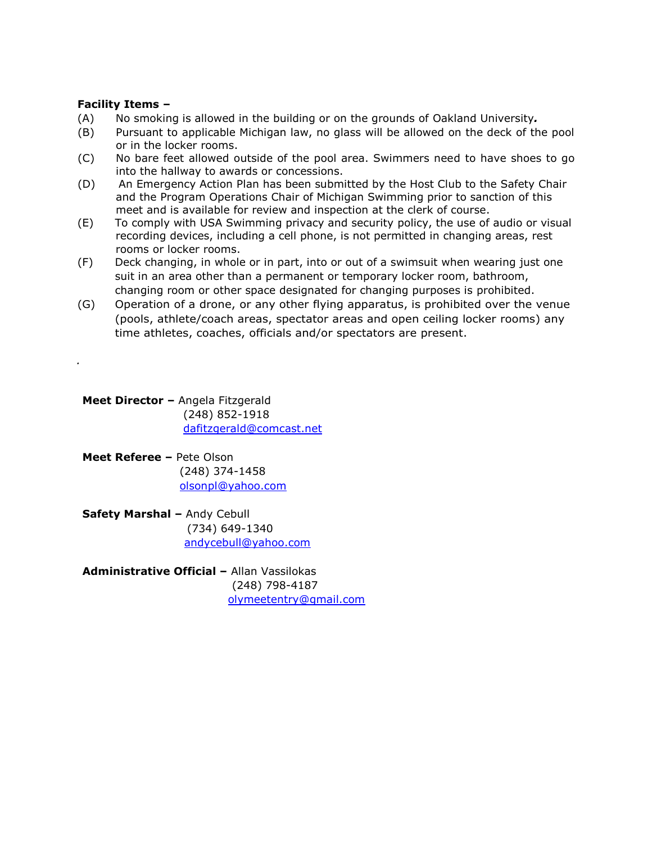## **Facility Items –**

*.*

- (A) No smoking is allowed in the building or on the grounds of Oakland University*.*
- (B) Pursuant to applicable Michigan law, no glass will be allowed on the deck of the pool or in the locker rooms.
- (C) No bare feet allowed outside of the pool area. Swimmers need to have shoes to go into the hallway to awards or concessions.
- (D) An Emergency Action Plan has been submitted by the Host Club to the Safety Chair and the Program Operations Chair of Michigan Swimming prior to sanction of this meet and is available for review and inspection at the clerk of course.
- (E) To comply with USA Swimming privacy and security policy, the use of audio or visual recording devices, including a cell phone, is not permitted in changing areas, rest rooms or locker rooms.
- (F) Deck changing, in whole or in part, into or out of a swimsuit when wearing just one suit in an area other than a permanent or temporary locker room, bathroom, changing room or other space designated for changing purposes is prohibited.
- (G) Operation of a drone, or any other flying apparatus, is prohibited over the venue (pools, athlete/coach areas, spectator areas and open ceiling locker rooms) any time athletes, coaches, officials and/or spectators are present.

**Meet Director –** Angela Fitzgerald (248) 852-1918 [dafitzgerald@comcast.net](mailto:dafitzgerald@comcast.net)

- **Meet Referee –** Pete Olson (248) 374-1458 [olsonpl@yahoo.com](mailto:olsonpl@yahoo.com)
- **Safety Marshal –** Andy Cebull (734) 649-1340 [andycebull@yahoo.com](mailto:andycebull@yahoo.com)

**Administrative Official –** Allan Vassilokas (248) 798-4187 [olymeetentry@gmail.com](mailto:olymeetentry@gmail.com)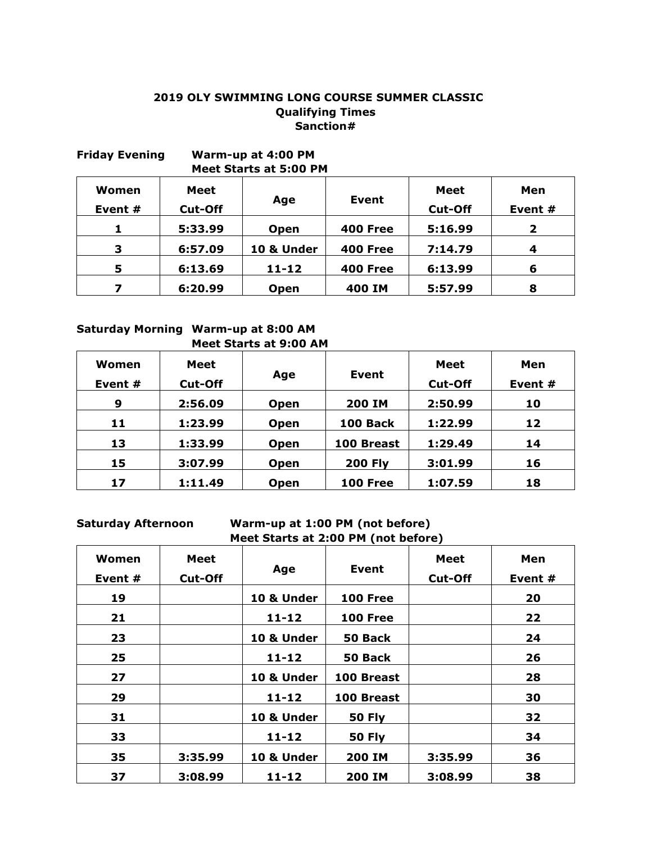## **2019 OLY SWIMMING LONG COURSE SUMMER CLASSIC Qualifying Times Sanction#**

| <b>Friday Evening</b> |                 | Warm-up at 4:00 PM<br><b>Meet Starts at 5:00 PM</b> |                 |                        |                |
|-----------------------|-----------------|-----------------------------------------------------|-----------------|------------------------|----------------|
| Women<br>Event #      | Meet<br>Cut-Off | Age                                                 | <b>Event</b>    | Meet<br><b>Cut-Off</b> | Men<br>Event # |
| 1                     | 5:33.99         | <b>Open</b>                                         | <b>400 Free</b> | 5:16.99                | $\mathbf{2}$   |
| 3                     | 6:57.09         | 10 & Under                                          | <b>400 Free</b> | 7:14.79                | 4              |
| 5                     | 6:13.69         | $11 - 12$                                           | <b>400 Free</b> | 6:13.99                | 6              |
| 7                     | 6:20.99         | <b>Open</b>                                         | 400 IM          | 5:57.99                | 8              |

## **Saturday Morning Warm-up at 8:00 AM Meet Starts at 9:00 AM**

| Women<br>Event # | Meet<br><b>Cut-Off</b> | Age         | Event           | <b>Meet</b><br><b>Cut-Off</b> | Men<br>Event # |
|------------------|------------------------|-------------|-----------------|-------------------------------|----------------|
| 9                | 2:56.09                | Open        | <b>200 IM</b>   | 2:50.99                       | 10             |
| 11               | 1:23.99                | Open        | 100 Back        | 1:22.99                       | 12             |
| 13               | 1:33.99                | Open        | 100 Breast      | 1:29.49                       | 14             |
| 15               | 3:07.99                | <b>Open</b> | <b>200 Fly</b>  | 3:01.99                       | 16             |
| 17               | 1:11.49                | Open        | <b>100 Free</b> | 1:07.59                       | 18             |

## **Saturday Afternoon Warm-up at 1:00 PM (not before) Meet Starts at 2:00 PM (not before)**

| Women<br>Event # | <b>Meet</b><br><b>Cut-Off</b> | Age        | Event           | <b>Meet</b><br><b>Cut-Off</b> | Men<br>Event # |
|------------------|-------------------------------|------------|-----------------|-------------------------------|----------------|
| 19               |                               | 10 & Under | <b>100 Free</b> |                               | 20             |
| 21               |                               | $11 - 12$  | <b>100 Free</b> |                               | 22             |
| 23               |                               | 10 & Under | 50 Back         |                               | 24             |
| 25               |                               | $11 - 12$  | 50 Back         |                               | 26             |
| 27               |                               | 10 & Under | 100 Breast      |                               | 28             |
| 29               |                               | $11 - 12$  | 100 Breast      |                               | 30             |
| 31               |                               | 10 & Under | <b>50 Fly</b>   |                               | 32             |
| 33               |                               | $11 - 12$  | <b>50 Fly</b>   |                               | 34             |
| 35               | 3:35.99                       | 10 & Under | 200 IM          | 3:35.99                       | 36             |
| 37               | 3:08.99                       | $11 - 12$  | 200 IM          | 3:08.99                       | 38             |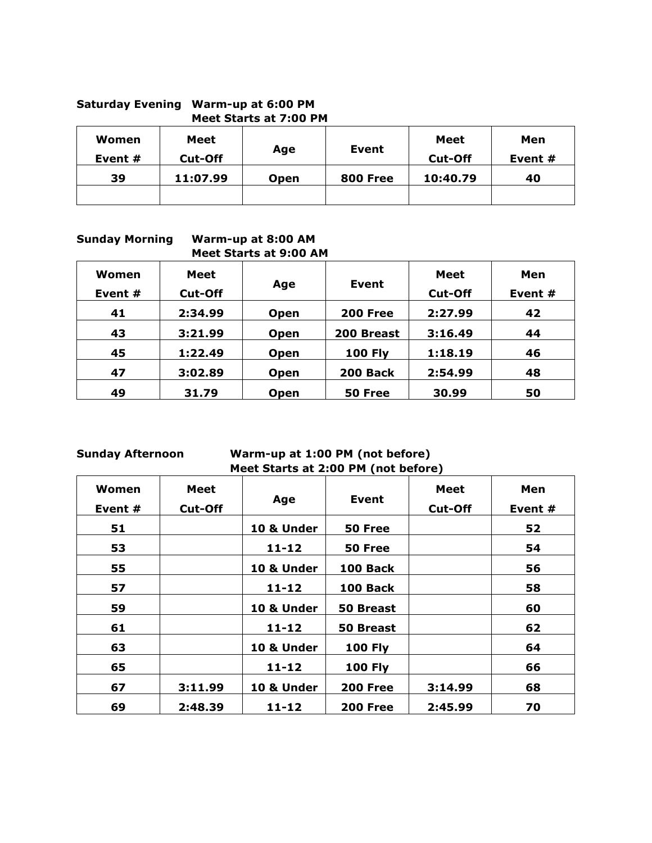## **Saturday Evening Warm-up at 6:00 PM Meet Starts at 7:00 PM**

| Women<br>Event # | Meet<br><b>Cut-Off</b> | Age         | Event           | <b>Meet</b><br>Cut-Off | Men<br>Event # |
|------------------|------------------------|-------------|-----------------|------------------------|----------------|
| 39               | 11:07.99               | <b>Open</b> | <b>800 Free</b> | 10:40.79               | 40             |
|                  |                        |             |                 |                        |                |

**Sunday Morning Warm-up at 8:00 AM Meet Starts at 9:00 AM**

| Women<br>Event # | Meet<br><b>Cut-Off</b> | Age         | Event           | <b>Meet</b><br><b>Cut-Off</b> | Men<br>Event # |
|------------------|------------------------|-------------|-----------------|-------------------------------|----------------|
| 41               | 2:34.99                | <b>Open</b> | <b>200 Free</b> | 2:27.99                       | 42             |
| 43               | 3:21.99                | <b>Open</b> | 200 Breast      | 3:16.49                       | 44             |
| 45               | 1:22.49                | <b>Open</b> | <b>100 Fly</b>  | 1:18.19                       | 46             |
| 47               | 3:02.89                | <b>Open</b> | 200 Back        | 2:54.99                       | 48             |
| 49               | 31.79                  | <b>Open</b> | 50 Free         | 30.99                         | 50             |

## **Sunday Afternoon Warm-up at 1:00 PM (not before) Meet Starts at 2:00 PM (not before)**

| Women<br>Event # | <b>Meet</b><br><b>Cut-Off</b> | Age        | Event           | <b>Meet</b><br><b>Cut-Off</b> | Men<br>Event # |
|------------------|-------------------------------|------------|-----------------|-------------------------------|----------------|
| 51               |                               | 10 & Under | 50 Free         |                               | 52             |
| 53               |                               | $11 - 12$  | 50 Free         |                               | 54             |
| 55               |                               | 10 & Under | 100 Back        |                               | 56             |
| 57               |                               | $11 - 12$  | <b>100 Back</b> |                               | 58             |
| 59               |                               | 10 & Under | 50 Breast       |                               | 60             |
| 61               |                               | $11 - 12$  | 50 Breast       |                               | 62             |
| 63               |                               | 10 & Under | <b>100 Fly</b>  |                               | 64             |
| 65               |                               | $11 - 12$  | <b>100 Fly</b>  |                               | 66             |
| 67               | 3:11.99                       | 10 & Under | <b>200 Free</b> | 3:14.99                       | 68             |
| 69               | 2:48.39                       | $11 - 12$  | <b>200 Free</b> | 2:45.99                       | 70             |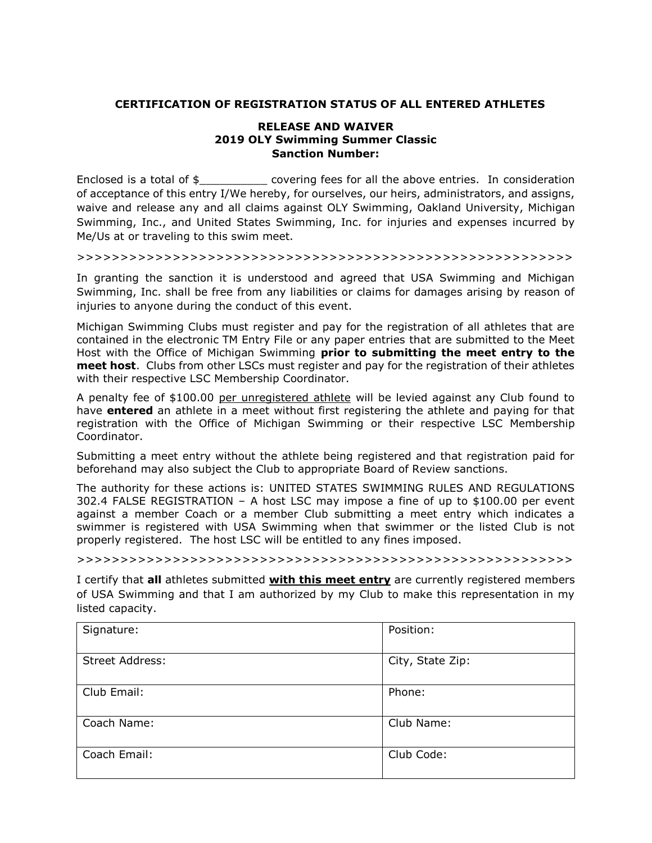## **CERTIFICATION OF REGISTRATION STATUS OF ALL ENTERED ATHLETES**

### **RELEASE AND WAIVER 2019 OLY Swimming Summer Classic Sanction Number:**

Enclosed is a total of \$\_\_\_\_\_\_\_\_\_\_\_\_ covering fees for all the above entries. In consideration of acceptance of this entry I/We hereby, for ourselves, our heirs, administrators, and assigns, waive and release any and all claims against OLY Swimming, Oakland University, Michigan Swimming, Inc., and United States Swimming, Inc. for injuries and expenses incurred by Me/Us at or traveling to this swim meet.

>>>>>>>>>>>>>>>>>>>>>>>>>>>>>>>>>>>>>>>>>>>>>>>>>>>>>>>>>

In granting the sanction it is understood and agreed that USA Swimming and Michigan Swimming, Inc. shall be free from any liabilities or claims for damages arising by reason of injuries to anyone during the conduct of this event.

Michigan Swimming Clubs must register and pay for the registration of all athletes that are contained in the electronic TM Entry File or any paper entries that are submitted to the Meet Host with the Office of Michigan Swimming **prior to submitting the meet entry to the meet host**. Clubs from other LSCs must register and pay for the registration of their athletes with their respective LSC Membership Coordinator.

A penalty fee of \$100.00 per unregistered athlete will be levied against any Club found to have **entered** an athlete in a meet without first registering the athlete and paying for that registration with the Office of Michigan Swimming or their respective LSC Membership Coordinator.

Submitting a meet entry without the athlete being registered and that registration paid for beforehand may also subject the Club to appropriate Board of Review sanctions.

The authority for these actions is: UNITED STATES SWIMMING RULES AND REGULATIONS 302.4 FALSE REGISTRATION – A host LSC may impose a fine of up to \$100.00 per event against a member Coach or a member Club submitting a meet entry which indicates a swimmer is registered with USA Swimming when that swimmer or the listed Club is not properly registered. The host LSC will be entitled to any fines imposed.

>>>>>>>>>>>>>>>>>>>>>>>>>>>>>>>>>>>>>>>>>>>>>>>>>>>>>>>>>

I certify that **all** athletes submitted **with this meet entry** are currently registered members of USA Swimming and that I am authorized by my Club to make this representation in my listed capacity.

| Signature:      | Position:        |
|-----------------|------------------|
| Street Address: | City, State Zip: |
| Club Email:     | Phone:           |
| Coach Name:     | Club Name:       |
| Coach Email:    | Club Code:       |